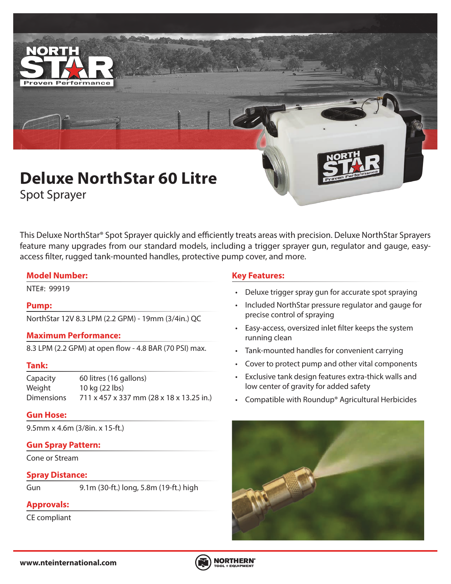

This Deluxe NorthStar® Spot Sprayer quickly and efficiently treats areas with precision. Deluxe NorthStar Sprayers feature many upgrades from our standard models, including a trigger sprayer gun, regulator and gauge, easyaccess filter, rugged tank-mounted handles, protective pump cover, and more.

# **Model Number:**

# **Pump:**

NorthStar 12V 8.3 LPM (2.2 GPM) - 19mm (3/4in.) QC

# **Maximum Performance:**

8.3 LPM (2.2 GPM) at open flow - 4.8 BAR (70 PSI) max.

# **Tank:**

Capacity 60 litres (16 gallons) Weight 10 kg (22 lbs) Dimensions 711 x 457 x 337 mm (28 x 18 x 13.25 in.)

# **Gun Hose:**

9.5mm x 4.6m (3/8in. x 15-ft.)

# **Gun Spray Pattern:**

Cone or Stream

# **Spray Distance:**

Gun 9.1m (30-ft.) long, 5.8m (19-ft.) high

# **Approvals:**

CE compliant

# **Key Features:**

- NTE#: 99919 Deluxe trigger spray gun for accurate spot spraying
	- Included NorthStar pressure regulator and gauge for precise control of spraying
	- Easy-access, oversized inlet filter keeps the system running clean
	- Tank-mounted handles for convenient carrying
	- Cover to protect pump and other vital components
	- Exclusive tank design features extra-thick walls and low center of gravity for added safety
	- Compatible with Roundup® Agricultural Herbicides